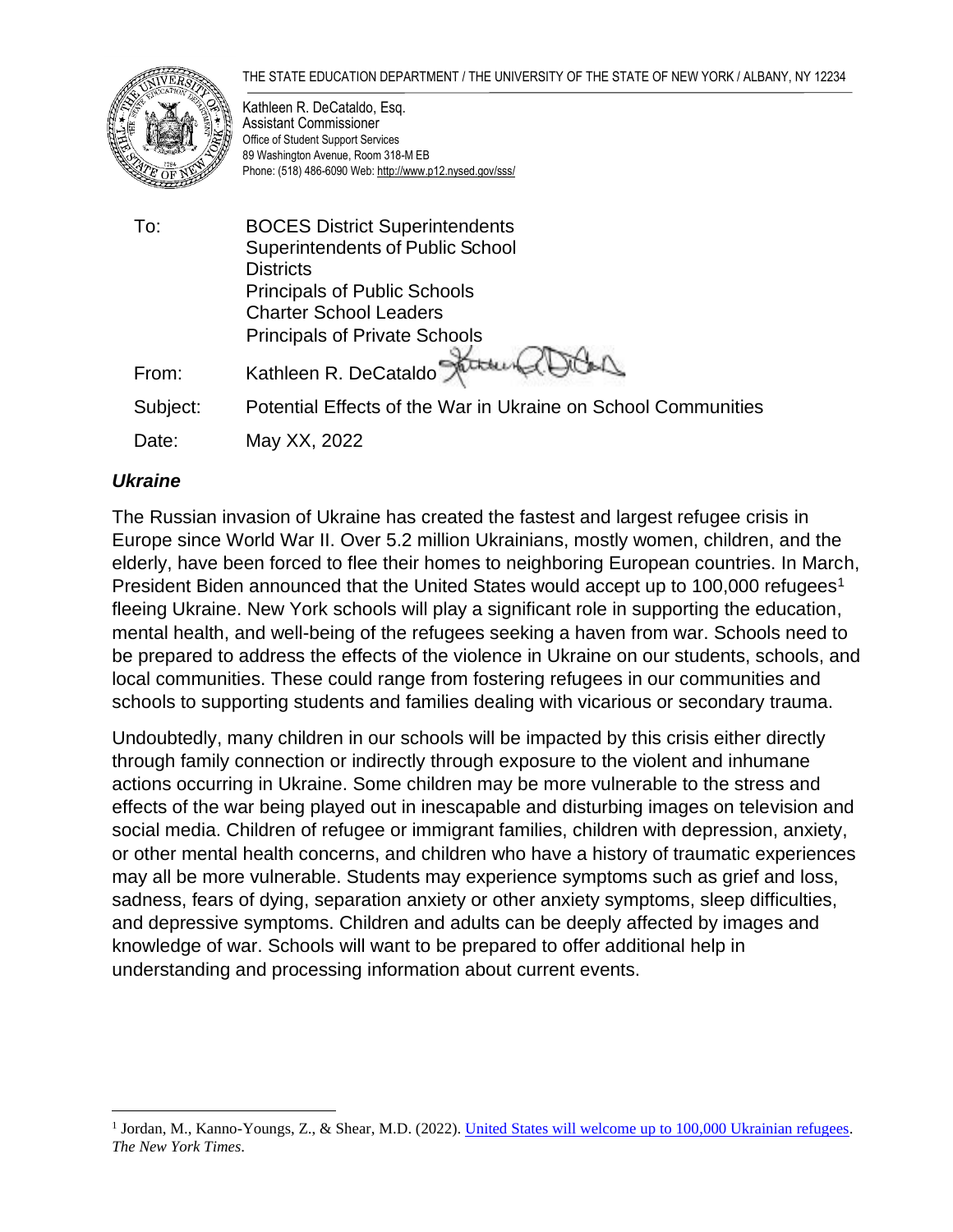#### THE STATE EDUCATION DEPARTMENT / THE UNIVERSITY OF THE STATE OF NEW YORK / ALBANY, NY 12234



Kathleen R. DeCataldo, Esq. Assistant Commissioner Office of Student Support Services 89 Washington Avenue, Room 318-M EB Phone: (518) 486-6090 Web[: http://www.p12.nysed.gov/sss/](http://www.p12.nysed.gov/sss/)

To: BOCES District Superintendents Superintendents of Public School **Districts** Principals of Public Schools Charter School Leaders Principals of Private Schools From: Kathleen R. DeCata Subject: Potential Effects of the War in Ukraine on School Communities Date: May XX, 2022

### *Ukraine*

The Russian invasion of Ukraine has created the fastest and largest refugee crisis in Europe since World War II. Over 5.2 million Ukrainians, mostly women, children, and the elderly, have been forced to flee their homes to neighboring European countries. In March, President Biden announced that the United States would accept up to 100,000 refugees<sup>1</sup> fleeing Ukraine. New York schools will play a significant role in supporting the education, mental health, and well-being of the refugees seeking a haven from war. Schools need to be prepared to address the effects of the violence in Ukraine on our students, schools, and local communities. These could range from fostering refugees in our communities and schools to supporting students and families dealing with vicarious or secondary trauma.

Undoubtedly, many children in our schools will be impacted by this crisis either directly through family connection or indirectly through exposure to the violent and inhumane actions occurring in Ukraine. Some children may be more vulnerable to the stress and effects of the war being played out in inescapable and disturbing images on television and social media. Children of refugee or immigrant families, children with depression, anxiety, or other mental health concerns, and children who have a history of traumatic experiences may all be more vulnerable. Students may experience symptoms such as grief and loss, sadness, fears of dying, separation anxiety or other anxiety symptoms, sleep difficulties, and depressive symptoms. Children and adults can be deeply affected by images and knowledge of war. Schools will want to be prepared to offer additional help in understanding and processing information about current events.

<sup>&</sup>lt;sup>1</sup> Jordan, M., Kanno-Youngs, Z., & Shear, M.D. (2022). [United States will welcome up to 100,000 Ukrainian refugees.](https://www.nytimes.com/2022/03/24/us/ukrainian-refugees-biden.html) *The New York Times*.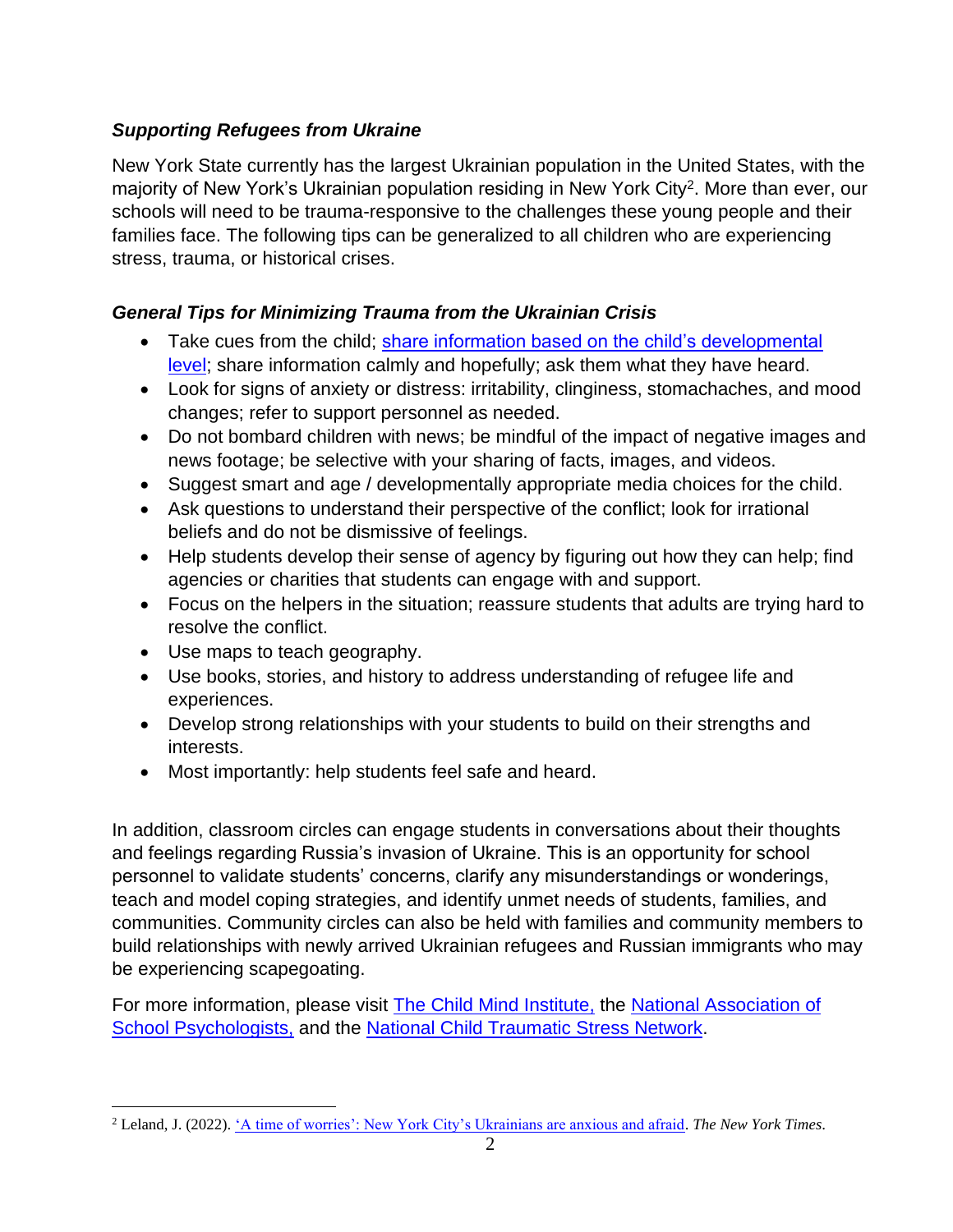# *Supporting Refugees from Ukraine*

New York State currently has the largest Ukrainian population in the United States, with the majority of New York's Ukrainian population residing in New York City<sup>2</sup>. More than ever, our schools will need to be trauma-responsive to the challenges these young people and their families face. The following tips can be generalized to all children who are experiencing stress, trauma, or historical crises.

# *General Tips for Minimizing Trauma from the Ukrainian Crisis*

- Take cues from the child; share information based on the child's developmental [level;](https://www.pbssocal.org/education/how-to-talk-to-kids-about-the-ukraine-invasion?fbclid=IwAR0APZSDBV_BhZ0adsPSDGK-_DtXxn7TDlrJieblR6S9plRcYHfGrJOX2hI%E2%80%AF) share information calmly and hopefully; ask them what they have heard.
- Look for signs of anxiety or distress: irritability, clinginess, stomachaches, and mood changes; refer to support personnel as needed.
- Do not bombard children with news; be mindful of the impact of negative images and news footage; be selective with your sharing of facts, images, and videos.
- Suggest smart and age / developmentally appropriate media choices for the child.
- Ask questions to understand their perspective of the conflict; look for irrational beliefs and do not be dismissive of feelings.
- Help students develop their sense of agency by figuring out how they can help; find agencies or charities that students can engage with and support.
- Focus on the helpers in the situation; reassure students that adults are trying hard to resolve the conflict.
- Use maps to teach geography.
- Use books, stories, and history to address understanding of refugee life and experiences.
- Develop strong relationships with your students to build on their strengths and interests.
- Most importantly: help students feel safe and heard.

In addition, classroom circles can engage students in conversations about their thoughts and feelings regarding Russia's invasion of Ukraine. This is an opportunity for school personnel to validate students' concerns, clarify any misunderstandings or wonderings, teach and model coping strategies, and identify unmet needs of students, families, and communities. Community circles can also be held with families and community members to build relationships with newly arrived Ukrainian refugees and Russian immigrants who may be experiencing scapegoating.

For more information, please visit [The Child Mind Institute,](https://childmind.org/article/helping-children-cope-frightening-news/#full_article) the [National Association of](https://www.nasponline.org/resources-and-publications/resources-and-podcasts/school-safety-and-crisis/mental-health-resources/war-and-terrorism/supporting-refugee-students)  [School Psychologists,](https://www.nasponline.org/resources-and-publications/resources-and-podcasts/school-safety-and-crisis/mental-health-resources/war-and-terrorism/supporting-refugee-students) and the [National Child Traumatic Stress Network.](https://www.nctsn.org/sites/default/files/resources/fact-sheet/talking-to-children-about-war.pdf)

<sup>2</sup> Leland, J. (2022). ['A time of worries': New York City's Ukrainians are anxious and afraid.](https://www.nytimes.com/2022/02/23/nyregion/nyc-ukrainians.html) *The New York Times*.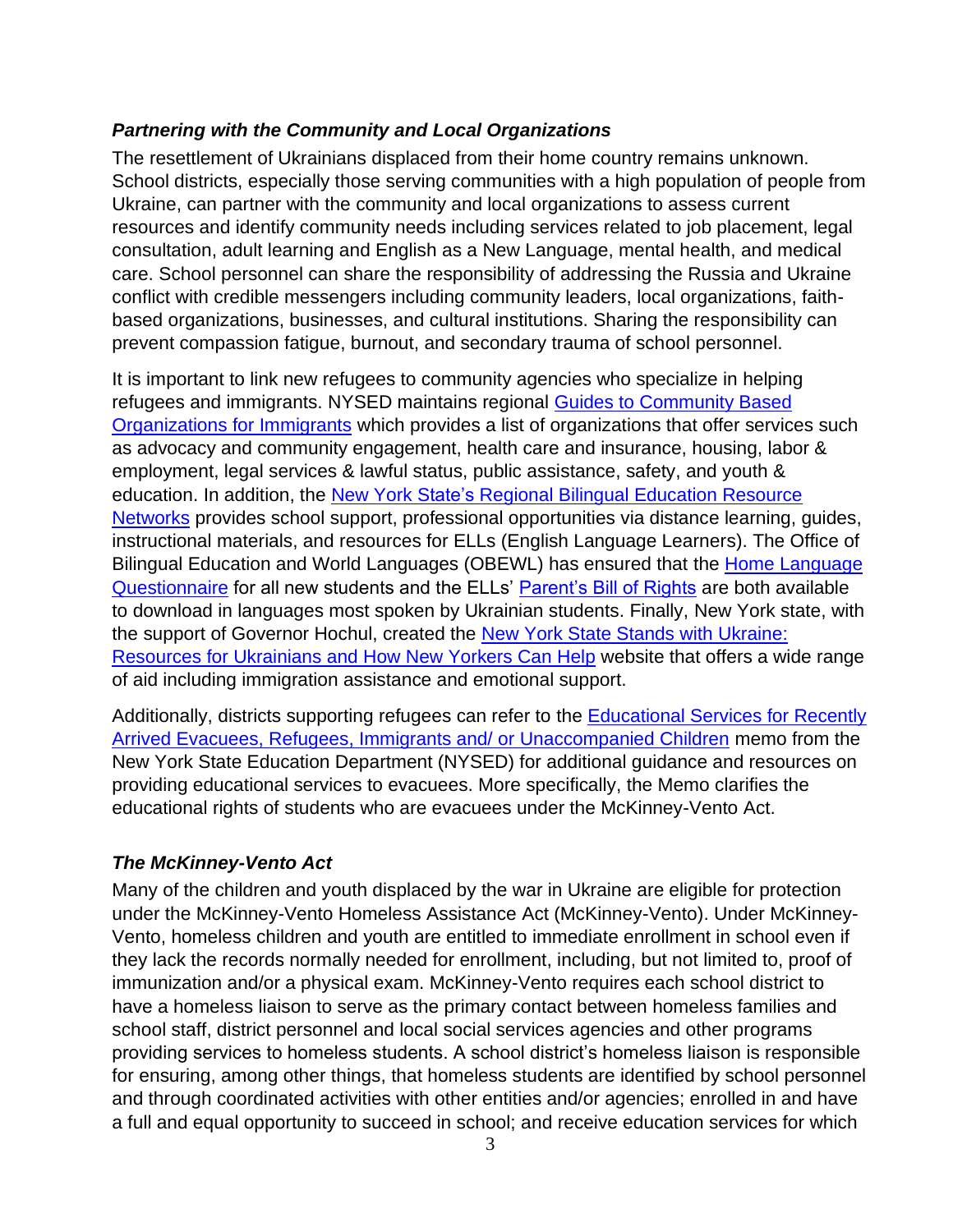### *Partnering with the Community and Local Organizations*

The resettlement of Ukrainians displaced from their home country remains unknown. School districts, especially those serving communities with a high population of people from Ukraine, can partner with the community and local organizations to assess current resources and identify community needs including services related to job placement, legal consultation, adult learning and English as a New Language, mental health, and medical care. School personnel can share the responsibility of addressing the Russia and Ukraine conflict with credible messengers including community leaders, local organizations, faithbased organizations, businesses, and cultural institutions. Sharing the responsibility can prevent compassion fatigue, burnout, and secondary trauma of school personnel.

It is important to link new refugees to community agencies who specialize in helping refugees and immigrants. NYSED maintains regional [Guides to Community Based](http://www.nysed.gov/bilingual-ed/guide-community-based-organizations-immigrants)  [Organizations for Immigrants](http://www.nysed.gov/bilingual-ed/guide-community-based-organizations-immigrants) which provides a list of organizations that offer services such as advocacy and community engagement, health care and insurance, housing, labor & employment, legal services & lawful status, public assistance, safety, and youth & education. In addition, the New York State's [Regional Bilingual Education Resource](http://www.nysed.gov/bilingual-ed/regional-supportrberns)  [Networks](http://www.nysed.gov/bilingual-ed/regional-supportrberns) provides school support, professional opportunities via distance learning, guides, instructional materials, and resources for ELLs (English Language Learners). The Office of Bilingual Education and World Languages (OBEWL) has ensured that the [Home Language](http://www.nysed.gov/bilingual-ed/ell-identification-placementhome-language-questionnaire)  [Questionnaire](http://www.nysed.gov/bilingual-ed/ell-identification-placementhome-language-questionnaire) for all new students and the ELLs' [Parent's Bill of Rights](http://www.nysed.gov/bilingual-ed/parents-bill-rights-new-york-states-english-language-learners-and-multilingual-learners) are both available to download in languages most spoken by Ukrainian students. Finally, New York state, with the support of Governor Hochul, created the [New York State Stands with Ukraine:](https://www.ny.gov/new-york-state-stands-ukraine-resources-ukrainians-and-how-new-yorkers-can-help)  [Resources for Ukrainians and How New Yorkers Can Help](https://www.ny.gov/new-york-state-stands-ukraine-resources-ukrainians-and-how-new-yorkers-can-help) website that offers a wide range of aid including immigration assistance and emotional support.

Additionally, districts supporting refugees can refer to the **Educational Services for Recently** [Arrived Evacuees, Refugees, Immigrants and/ or Unaccompanied Children](http://www.nysed.gov/common/nysed/files/educational-services-for-recently-arrived-evacuees-refugees-immigrants_-003-002.pdf) memo from the New York State Education Department (NYSED) for additional guidance and resources on providing educational services to evacuees. More specifically, the Memo clarifies the educational rights of students who are evacuees under the McKinney-Vento Act.

## *The McKinney-Vento Act*

Many of the children and youth displaced by the war in Ukraine are eligible for protection under the McKinney-Vento Homeless Assistance Act (McKinney-Vento). Under McKinney-Vento, homeless children and youth are entitled to immediate enrollment in school even if they lack the records normally needed for enrollment, including, but not limited to, proof of immunization and/or a physical exam. McKinney-Vento requires each school district to have a homeless liaison to serve as the primary contact between homeless families and school staff, district personnel and local social services agencies and other programs providing services to homeless students. A school district's homeless liaison is responsible for ensuring, among other things, that homeless students are identified by school personnel and through coordinated activities with other entities and/or agencies; enrolled in and have a full and equal opportunity to succeed in school; and receive education services for which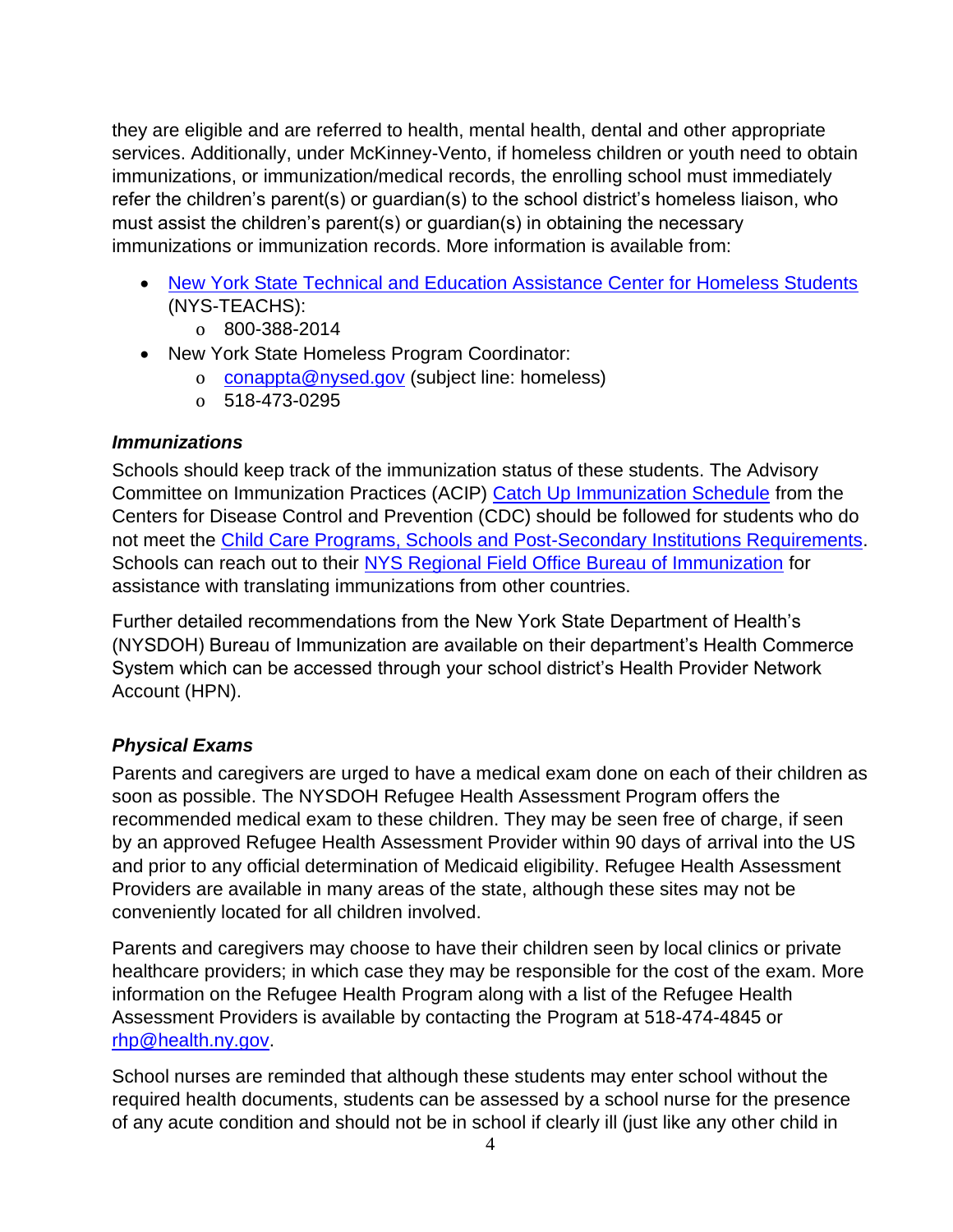they are eligible and are referred to health, mental health, dental and other appropriate services. Additionally, under McKinney-Vento, if homeless children or youth need to obtain immunizations, or immunization/medical records, the enrolling school must immediately refer the children's parent(s) or guardian(s) to the school district's homeless liaison, who must assist the children's parent(s) or guardian(s) in obtaining the necessary immunizations or immunization records. More information is available from:

- [New York State Technical and Education Assistance Center for Homeless Students](https://www.nysteachs.org/) (NYS-TEACHS):
	- o 800-388-2014
- New York State Homeless Program Coordinator:
	- o [conappta@nysed.gov](mailto:conappta@nysed.gov) (subject line: homeless)
	- o 518-473-0295

### *Immunizations*

Schools should keep track of the immunization status of these students. The Advisory Committee on Immunization Practices (ACIP) [Catch Up Immunization Schedule](https://www.cdc.gov/vaccines/schedules/hcp/imz/catchup.html) from the Centers for Disease Control and Prevention (CDC) should be followed for students who do not meet the [Child Care Programs, Schools and Post-Secondary Institutions Requirements.](https://www.health.ny.gov/prevention/immunization/schools/) Schools can reach out to their [NYS Regional Field Office Bureau of Immunization](https://www.schoolhealthny.com/cms/lib/NY01832015/Centricity/Domain/98/NYS%20Regional%20Field%20Office%20Bureau%20of%20Immunization%20May%202015.pdf) for assistance with translating immunizations from other countries.

Further detailed recommendations from the New York State Department of Health's (NYSDOH) Bureau of Immunization are available on their department's Health Commerce System which can be accessed through your school district's Health Provider Network Account (HPN).

## *Physical Exams*

Parents and caregivers are urged to have a medical exam done on each of their children as soon as possible. The NYSDOH Refugee Health Assessment Program offers the recommended medical exam to these children. They may be seen free of charge, if seen by an approved Refugee Health Assessment Provider within 90 days of arrival into the US and prior to any official determination of Medicaid eligibility. Refugee Health Assessment Providers are available in many areas of the state, although these sites may not be conveniently located for all children involved.

Parents and caregivers may choose to have their children seen by local clinics or private healthcare providers; in which case they may be responsible for the cost of the exam. More information on the Refugee Health Program along with a list of the Refugee Health Assessment Providers is available by contacting the Program at 518-474-4845 or [rhp@health.ny.gov.](mailto:rhp@health.ny.gov)

School nurses are reminded that although these students may enter school without the required health documents, students can be assessed by a school nurse for the presence of any acute condition and should not be in school if clearly ill (just like any other child in